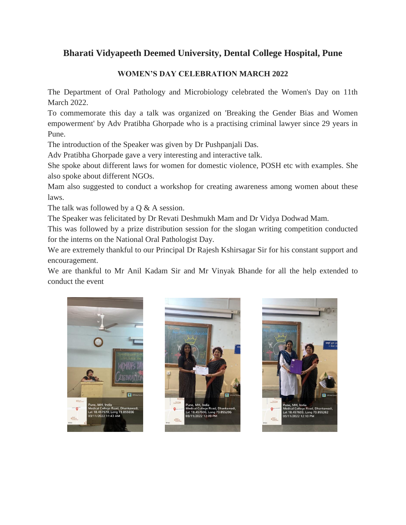## **Bharati Vidyapeeth Deemed University, Dental College Hospital, Pune**

## **WOMEN'S DAY CELEBRATION MARCH 2022**

The Department of Oral Pathology and Microbiology celebrated the Women's Day on 11th March 2022.

To commemorate this day a talk was organized on 'Breaking the Gender Bias and Women empowerment' by Adv Pratibha Ghorpade who is a practising criminal lawyer since 29 years in Pune.

The introduction of the Speaker was given by Dr Pushpanjali Das.

Adv Pratibha Ghorpade gave a very interesting and interactive talk.

She spoke about different laws for women for domestic violence, POSH etc with examples. She also spoke about different NGOs.

Mam also suggested to conduct a workshop for creating awareness among women about these laws.

The talk was followed by a Q & A session.

The Speaker was felicitated by Dr Revati Deshmukh Mam and Dr Vidya Dodwad Mam.

This was followed by a prize distribution session for the slogan writing competition conducted for the interns on the National Oral Pathologist Day.

We are extremely thankful to our Principal Dr Rajesh Kshirsagar Sir for his constant support and encouragement.

We are thankful to Mr Anil Kadam Sir and Mr Vinyak Bhande for all the help extended to conduct the event